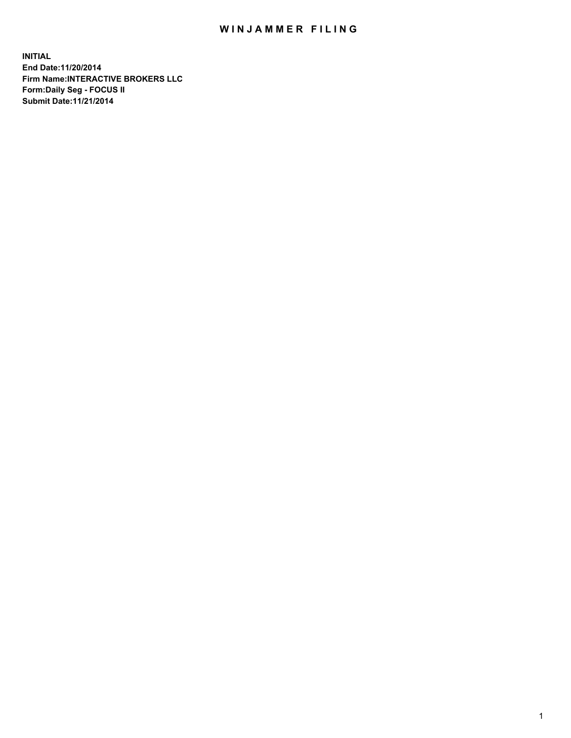## WIN JAMMER FILING

**INITIAL End Date:11/20/2014 Firm Name:INTERACTIVE BROKERS LLC Form:Daily Seg - FOCUS II Submit Date:11/21/2014**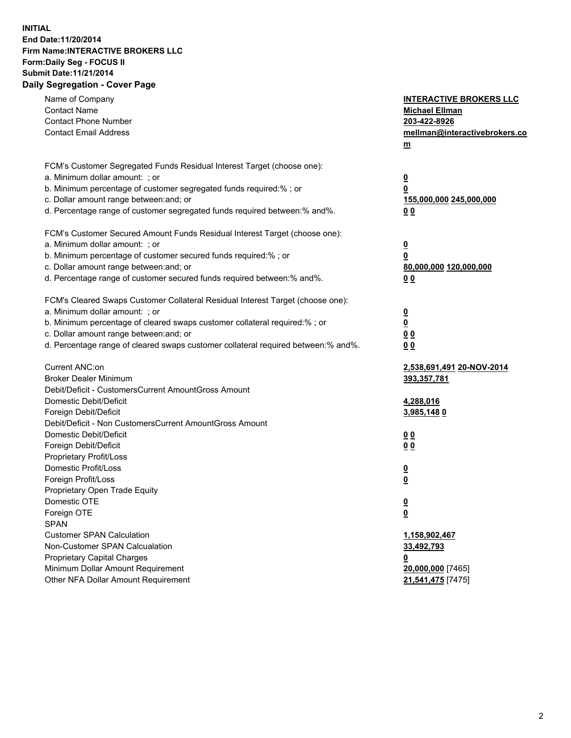## **INITIAL End Date:11/20/2014 Firm Name:INTERACTIVE BROKERS LLC Form:Daily Seg - FOCUS II Submit Date:11/21/2014 Daily Segregation - Cover Page**

| Name of Company<br><b>Contact Name</b><br><b>Contact Phone Number</b><br><b>Contact Email Address</b>                                                                                                                                                                                                                          | <b>INTERACTIVE BROKERS LLC</b><br><b>Michael Ellman</b><br>203-422-8926<br>mellman@interactivebrokers.co<br>$m$ |
|--------------------------------------------------------------------------------------------------------------------------------------------------------------------------------------------------------------------------------------------------------------------------------------------------------------------------------|-----------------------------------------------------------------------------------------------------------------|
| FCM's Customer Segregated Funds Residual Interest Target (choose one):<br>a. Minimum dollar amount: ; or<br>b. Minimum percentage of customer segregated funds required:% ; or<br>c. Dollar amount range between: and; or<br>d. Percentage range of customer segregated funds required between:% and%.                         | $\overline{\mathbf{0}}$<br>0<br>155,000,000 245,000,000<br>0 <sub>0</sub>                                       |
| FCM's Customer Secured Amount Funds Residual Interest Target (choose one):<br>a. Minimum dollar amount: ; or<br>b. Minimum percentage of customer secured funds required:% ; or<br>c. Dollar amount range between: and; or<br>d. Percentage range of customer secured funds required between:% and%.                           | $\overline{\mathbf{0}}$<br>0<br>80,000,000 120,000,000<br>0 <sub>0</sub>                                        |
| FCM's Cleared Swaps Customer Collateral Residual Interest Target (choose one):<br>a. Minimum dollar amount: ; or<br>b. Minimum percentage of cleared swaps customer collateral required:% ; or<br>c. Dollar amount range between: and; or<br>d. Percentage range of cleared swaps customer collateral required between:% and%. | $\overline{\mathbf{0}}$<br>$\underline{\mathbf{0}}$<br>0 <sub>0</sub><br>0 <sub>0</sub>                         |
| Current ANC:on<br><b>Broker Dealer Minimum</b><br>Debit/Deficit - CustomersCurrent AmountGross Amount<br>Domestic Debit/Deficit<br>Foreign Debit/Deficit                                                                                                                                                                       | 2,538,691,491 20-NOV-2014<br>393,357,781<br>4,288,016<br>3,985,1480                                             |
| Debit/Deficit - Non CustomersCurrent AmountGross Amount<br>Domestic Debit/Deficit<br>Foreign Debit/Deficit<br>Proprietary Profit/Loss<br>Domestic Profit/Loss                                                                                                                                                                  | 0 <sub>0</sub><br>0 <sub>0</sub><br>$\overline{\mathbf{0}}$                                                     |
| Foreign Profit/Loss<br>Proprietary Open Trade Equity<br>Domestic OTE<br>Foreign OTE<br><b>SPAN</b><br><b>Customer SPAN Calculation</b>                                                                                                                                                                                         | $\overline{\mathbf{0}}$<br>$\underline{\mathbf{0}}$<br><u>0</u><br>1,158,902,467                                |
| Non-Customer SPAN Calcualation<br><b>Proprietary Capital Charges</b><br>Minimum Dollar Amount Requirement<br>Other NFA Dollar Amount Requirement                                                                                                                                                                               | 33,492,793<br><u>0</u><br>20,000,000 [7465]<br>21,541,475 [7475]                                                |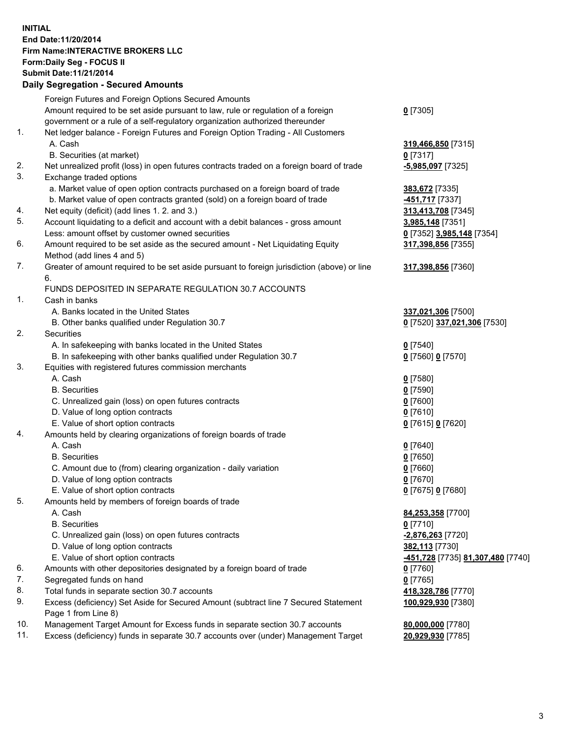## **INITIAL End Date:11/20/2014 Firm Name:INTERACTIVE BROKERS LLC Form:Daily Seg - FOCUS II Submit Date:11/21/2014 Daily Segregation - Secured Amounts**

|     | Dany Ocgregation - Oceanea Annoanta                                                                        |                                                       |
|-----|------------------------------------------------------------------------------------------------------------|-------------------------------------------------------|
|     | Foreign Futures and Foreign Options Secured Amounts                                                        |                                                       |
|     | Amount required to be set aside pursuant to law, rule or regulation of a foreign                           | $0$ [7305]                                            |
|     | government or a rule of a self-regulatory organization authorized thereunder                               |                                                       |
| 1.  | Net ledger balance - Foreign Futures and Foreign Option Trading - All Customers                            |                                                       |
|     | A. Cash                                                                                                    | 319,466,850 [7315]                                    |
|     | B. Securities (at market)                                                                                  | $0$ [7317]                                            |
| 2.  | Net unrealized profit (loss) in open futures contracts traded on a foreign board of trade                  | -5,985,097 [7325]                                     |
| 3.  | Exchange traded options                                                                                    |                                                       |
|     | a. Market value of open option contracts purchased on a foreign board of trade                             | 383,672 [7335]                                        |
|     | b. Market value of open contracts granted (sold) on a foreign board of trade                               | 451,717 [7337]                                        |
| 4.  | Net equity (deficit) (add lines 1.2. and 3.)                                                               | 313,413,708 [7345]                                    |
| 5.  | Account liquidating to a deficit and account with a debit balances - gross amount                          | <u>3,985,148</u> [7351]                               |
|     | Less: amount offset by customer owned securities                                                           | 0 [7352] 3,985,148 [7354]                             |
| 6.  | Amount required to be set aside as the secured amount - Net Liquidating Equity                             | 317,398,856 [7355]                                    |
|     | Method (add lines 4 and 5)                                                                                 |                                                       |
| 7.  | Greater of amount required to be set aside pursuant to foreign jurisdiction (above) or line                | 317,398,856 [7360]                                    |
|     | 6.                                                                                                         |                                                       |
|     | FUNDS DEPOSITED IN SEPARATE REGULATION 30.7 ACCOUNTS                                                       |                                                       |
| 1.  | Cash in banks                                                                                              |                                                       |
|     | A. Banks located in the United States                                                                      | 337,021,306 [7500]                                    |
|     | B. Other banks qualified under Regulation 30.7                                                             | 0 [7520] 337,021,306 [7530]                           |
| 2.  | Securities                                                                                                 |                                                       |
|     | A. In safekeeping with banks located in the United States                                                  | $0$ [7540]                                            |
|     | B. In safekeeping with other banks qualified under Regulation 30.7                                         | 0 [7560] 0 [7570]                                     |
| 3.  | Equities with registered futures commission merchants                                                      |                                                       |
|     | A. Cash                                                                                                    | $0$ [7580]                                            |
|     | <b>B.</b> Securities                                                                                       | $0$ [7590]                                            |
|     | C. Unrealized gain (loss) on open futures contracts                                                        | $0$ [7600]                                            |
|     | D. Value of long option contracts                                                                          | $0$ [7610]                                            |
|     | E. Value of short option contracts                                                                         | 0 [7615] 0 [7620]                                     |
| 4.  | Amounts held by clearing organizations of foreign boards of trade                                          |                                                       |
|     | A. Cash                                                                                                    | $0$ [7640]                                            |
|     | <b>B.</b> Securities                                                                                       | $0$ [7650]                                            |
|     | C. Amount due to (from) clearing organization - daily variation                                            | $0$ [7660]                                            |
|     | D. Value of long option contracts                                                                          | $0$ [7670]                                            |
|     | E. Value of short option contracts                                                                         | 0 [7675] 0 [7680]                                     |
| 5.  | Amounts held by members of foreign boards of trade                                                         |                                                       |
|     | A. Cash                                                                                                    | 84,253,358 [7700]                                     |
|     | <b>B.</b> Securities                                                                                       | $0$ [7710]                                            |
|     | C. Unrealized gain (loss) on open futures contracts                                                        | -2,876,263 <sup>[7720]</sup>                          |
|     | D. Value of long option contracts                                                                          | 382,113 [7730]                                        |
|     | E. Value of short option contracts                                                                         | <mark>-451,728</mark> [7735] <u>81,307,480</u> [7740] |
| 6.  | Amounts with other depositories designated by a foreign board of trade                                     | $0$ [7760]                                            |
| 7.  | Segregated funds on hand                                                                                   | $0$ [7765]                                            |
| 8.  | Total funds in separate section 30.7 accounts                                                              | 418,328,786 [7770]                                    |
| 9.  | Excess (deficiency) Set Aside for Secured Amount (subtract line 7 Secured Statement<br>Page 1 from Line 8) | 100,929,930 [7380]                                    |
| 10. | Management Target Amount for Excess funds in separate section 30.7 accounts                                | 80,000,000 [7780]                                     |
| 11. | Excess (deficiency) funds in separate 30.7 accounts over (under) Management Target                         | 20,929,930 [7785]                                     |
|     |                                                                                                            |                                                       |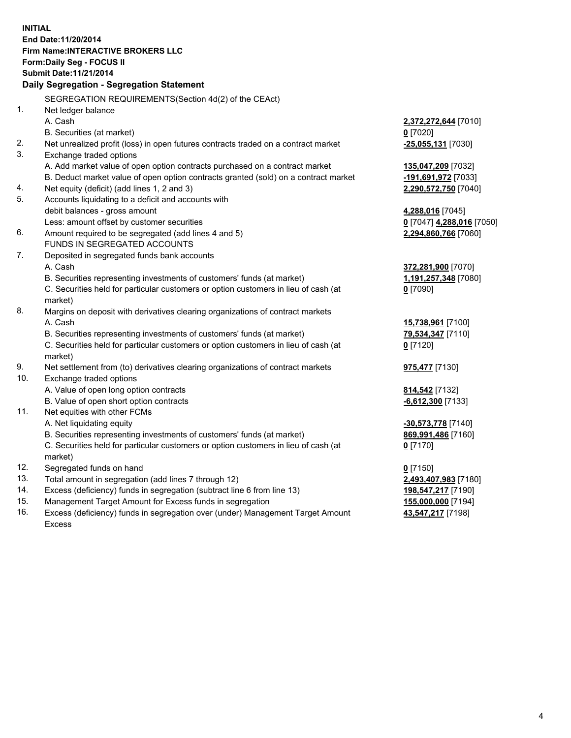**INITIAL End Date:11/20/2014 Firm Name:INTERACTIVE BROKERS LLC Form:Daily Seg - FOCUS II Submit Date:11/21/2014 Daily Segregation - Segregation Statement** SEGREGATION REQUIREMENTS(Section 4d(2) of the CEAct) 1. Net ledger balance A. Cash **2,372,272,644** [7010] B. Securities (at market) **0** [7020] 2. Net unrealized profit (loss) in open futures contracts traded on a contract market **-25,055,131** [7030] 3. Exchange traded options A. Add market value of open option contracts purchased on a contract market **135,047,209** [7032] B. Deduct market value of open option contracts granted (sold) on a contract market **-191,691,972** [7033] 4. Net equity (deficit) (add lines 1, 2 and 3) **2,290,572,750** [7040] 5. Accounts liquidating to a deficit and accounts with debit balances - gross amount **4,288,016** [7045] Less: amount offset by customer securities **0** [7047] **4,288,016** [7050] 6. Amount required to be segregated (add lines 4 and 5) **2,294,860,766** [7060] FUNDS IN SEGREGATED ACCOUNTS 7. Deposited in segregated funds bank accounts A. Cash **372,281,900** [7070] B. Securities representing investments of customers' funds (at market) **1,191,257,348** [7080] C. Securities held for particular customers or option customers in lieu of cash (at market) **0** [7090] 8. Margins on deposit with derivatives clearing organizations of contract markets A. Cash **15,738,961** [7100] B. Securities representing investments of customers' funds (at market) **79,534,347** [7110] C. Securities held for particular customers or option customers in lieu of cash (at market) **0** [7120] 9. Net settlement from (to) derivatives clearing organizations of contract markets **975,477** [7130] 10. Exchange traded options A. Value of open long option contracts **814,542** [7132] B. Value of open short option contracts **-6,612,300** [7133] 11. Net equities with other FCMs A. Net liquidating equity **-30,573,778** [7140] B. Securities representing investments of customers' funds (at market) **869,991,486** [7160] C. Securities held for particular customers or option customers in lieu of cash (at market) **0** [7170] 12. Segregated funds on hand **0** [7150] 13. Total amount in segregation (add lines 7 through 12) **2,493,407,983** [7180] 14. Excess (deficiency) funds in segregation (subtract line 6 from line 13) **198,547,217** [7190] 15. Management Target Amount for Excess funds in segregation **155,000,000** [7194]

16. Excess (deficiency) funds in segregation over (under) Management Target Amount Excess

**43,547,217** [7198]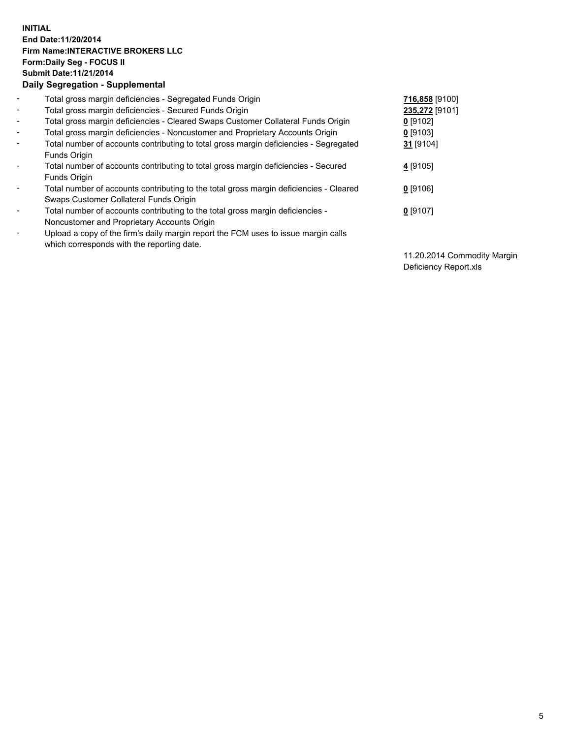## **INITIAL End Date:11/20/2014 Firm Name:INTERACTIVE BROKERS LLC Form:Daily Seg - FOCUS II Submit Date:11/21/2014 Daily Segregation - Supplemental**

| $\blacksquare$           | Total gross margin deficiencies - Segregated Funds Origin                              | 716,858 [9100] |
|--------------------------|----------------------------------------------------------------------------------------|----------------|
| $\blacksquare$           | Total gross margin deficiencies - Secured Funds Origin                                 | 235,272 [9101] |
| $\blacksquare$           | Total gross margin deficiencies - Cleared Swaps Customer Collateral Funds Origin       | $0$ [9102]     |
| $\sim$                   | Total gross margin deficiencies - Noncustomer and Proprietary Accounts Origin          | $0$ [9103]     |
| $\blacksquare$           | Total number of accounts contributing to total gross margin deficiencies - Segregated  | 31 [9104]      |
|                          | <b>Funds Origin</b>                                                                    |                |
| $\blacksquare$           | Total number of accounts contributing to total gross margin deficiencies - Secured     | 4 [9105]       |
|                          | Funds Origin                                                                           |                |
| Ξ.                       | Total number of accounts contributing to the total gross margin deficiencies - Cleared | $0$ [9106]     |
|                          | Swaps Customer Collateral Funds Origin                                                 |                |
| $\overline{\phantom{0}}$ | Total number of accounts contributing to the total gross margin deficiencies -         | $0$ [9107]     |
|                          | Noncustomer and Proprietary Accounts Origin                                            |                |
| -                        | Upload a copy of the firm's daily margin report the FCM uses to issue margin calls     |                |
|                          | which corresponds with the reporting date.                                             |                |

11.20.2014 Commodity Margin Deficiency Report.xls